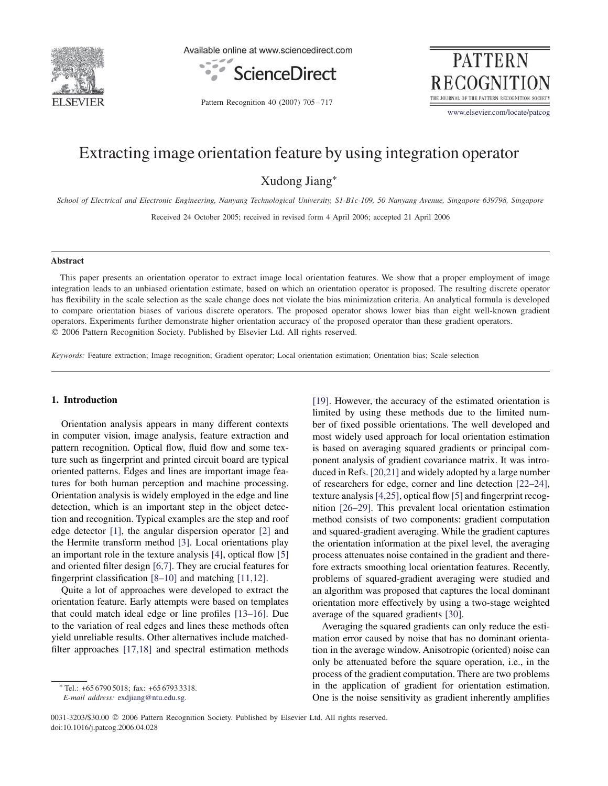

Available online at www.sciencedirect.com



**PATTERN RECOGNITION** THE JOURNAL OF THE PATTERN RECOGNITION SOCIETY www.elsevier.com/locate/patcog

Pattern Recognition 40 (2007) 705 – 717

# Extracting image orientation feature by using integration operator

Xudong Jiang∗

*School of Electrical and Electronic Engineering, Nanyang Technological University, S1-B1c-109, 50 Nanyang Avenue, Singapore 639798, Singapore*

Received 24 October 2005; received in revised form 4 April 2006; accepted 21 April 2006

## **Abstract**

This paper presents an orientation operator to extract image local orientation features. We show that a proper employment of image integration leads to an unbiased orientation estimate, based on which an orientation operator is proposed. The resulting discrete operator has flexibility in the scale selection as the scale change does not violate the bias minimization criteria. An analytical formula is developed to compare orientation biases of various discrete operators. The proposed operator shows lower bias than eight well-known gradient operators. Experiments further demonstrate higher orientation accuracy of the proposed operator than these gradient operators. - 2006 Pattern Recognition Society. Published by Elsevier Ltd. All rights reserved.

*Keywords:* Feature extraction; Image recognition; Gradient operator; Local orientation estimation; Orientation bias; Scale selection

## **1. Introduction**

Orientation analysis appears in many different contexts in computer vision, image analysis, feature extraction and pattern recognition. Optical flow, fluid flow and some texture such as fingerprint and printed circuit board are typical oriented patterns. Edges and lines are important image features for both human perception and machine processing. Orientation analysis is widely employed in the edge and line detection, which is an important step in the object detection and recognition. Typical examples are the step and roof edge detector [1], the angular dispersion operator [2] and the Hermite transform method [3]. Local orientations play an important role in the texture analysis [4], optical flow [5] and oriented filter design [6,7]. They are crucial features for fingerprint classification [8–10] and matching [11,12].

Quite a lot of approaches were developed to extract the orientation feature. Early attempts were based on templates that could match ideal edge or line profiles [13–16]. Due to the variation of real edges and lines these methods often yield unreliable results. Other alternatives include matchedfilter approaches [17,18] and spectral estimation methods [19]. However, the accuracy of the estimated orientation is limited by using these methods due to the limited number of fixed possible orientations. The well developed and most widely used approach for local orientation estimation is based on averaging squared gradients or principal component analysis of gradient covariance matrix. It was introduced in Refs. [20,21] and widely adopted by a large number of researchers for edge, corner and line detection [22–24], texture analysis[4,25], optical flow [5] and fingerprint recognition [26–29]. This prevalent local orientation estimation method consists of two components: gradient computation and squared-gradient averaging. While the gradient captures the orientation information at the pixel level, the averaging process attenuates noise contained in the gradient and therefore extracts smoothing local orientation features. Recently, problems of squared-gradient averaging were studied and an algorithm was proposed that captures the local dominant orientation more effectively by using a two-stage weighted average of the squared gradients [30].

Averaging the squared gradients can only reduce the estimation error caused by noise that has no dominant orientation in the average window. Anisotropic (oriented) noise can only be attenuated before the square operation, i.e., in the process of the gradient computation. There are two problems in the application of gradient for orientation estimation. One is the noise sensitivity as gradient inherently amplifies

<sup>∗</sup> Tel.: +65 6790 5018; fax: +65 6793 3318.

*E-mail address:* exdjiang@ntu.edu.sg.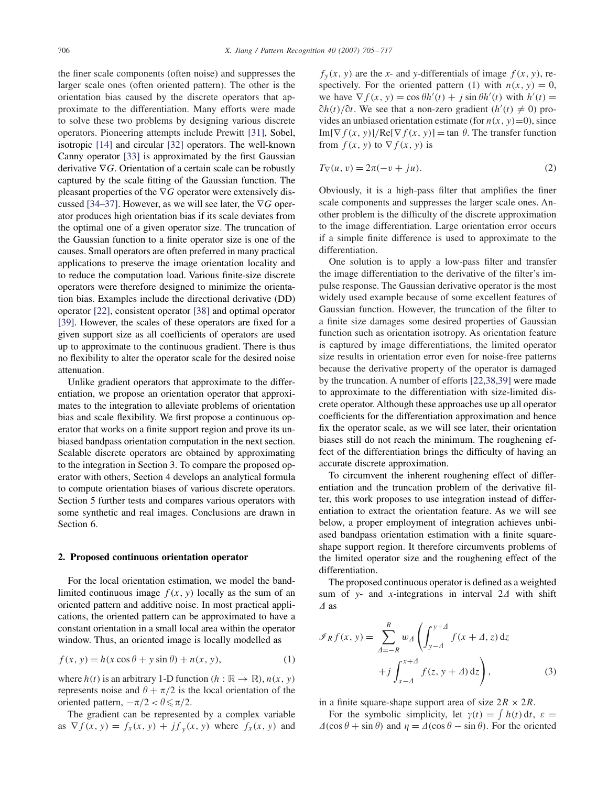the finer scale components (often noise) and suppresses the larger scale ones (often oriented pattern). The other is the orientation bias caused by the discrete operators that approximate to the differentiation. Many efforts were made to solve these two problems by designing various discrete operators. Pioneering attempts include Prewitt [31], Sobel, isotropic [14] and circular [32] operators. The well-known Canny operator [33] is approximated by the first Gaussian derivative  $\nabla G$ . Orientation of a certain scale can be robustly captured by the scale fitting of the Gaussian function. The pleasant properties of the ∇G operator were extensively discussed [34–37]. However, as we will see later, the  $\nabla G$  operator produces high orientation bias if its scale deviates from the optimal one of a given operator size. The truncation of the Gaussian function to a finite operator size is one of the causes. Small operators are often preferred in many practical applications to preserve the image orientation locality and to reduce the computation load. Various finite-size discrete operators were therefore designed to minimize the orientation bias. Examples include the directional derivative (DD) operator [22], consistent operator [38] and optimal operator [39]. However, the scales of these operators are fixed for a given support size as all coefficients of operators are used up to approximate to the continuous gradient. There is thus no flexibility to alter the operator scale for the desired noise attenuation.

Unlike gradient operators that approximate to the differentiation, we propose an orientation operator that approximates to the integration to alleviate problems of orientation bias and scale flexibility. We first propose a continuous operator that works on a finite support region and prove its unbiased bandpass orientation computation in the next section. Scalable discrete operators are obtained by approximating to the integration in Section 3. To compare the proposed operator with others, Section 4 develops an analytical formula to compute orientation biases of various discrete operators. Section 5 further tests and compares various operators with some synthetic and real images. Conclusions are drawn in Section 6.

### **2. Proposed continuous orientation operator**

For the local orientation estimation, we model the bandlimited continuous image  $f(x, y)$  locally as the sum of an oriented pattern and additive noise. In most practical applications, the oriented pattern can be approximated to have a constant orientation in a small local area within the operator window. Thus, an oriented image is locally modelled as

$$
f(x, y) = h(x \cos \theta + y \sin \theta) + n(x, y),
$$
 (1)

where  $h(t)$  is an arbitrary 1-D function ( $h : \mathbb{R} \to \mathbb{R}$ ),  $n(x, y)$ represents noise and  $\theta + \pi/2$  is the local orientation of the oriented pattern,  $-\pi/2 < \theta \le \pi/2$ .

The gradient can be represented by a complex variable as  $\nabla f(x, y) = f_x(x, y) + j f_y(x, y)$  where  $f_x(x, y)$  and

 $f_y(x, y)$  are the *x*- and *y*-differentials of image  $f(x, y)$ , respectively. For the oriented pattern (1) with  $n(x, y) = 0$ , we have  $\nabla f(x, y) = \cos \theta h'(t) + j \sin \theta h'(t)$  with  $h'(t) =$  $\partial h(t)/\partial t$ . We see that a non-zero gradient  $(h'(t) \neq 0)$  provides an unbiased orientation estimate (for  $n(x, y)=0$ ), since  $Im[\nabla f(x, y)]/Re[\nabla f(x, y)] = \tan \theta$ . The transfer function from  $f(x, y)$  to  $\nabla f(x, y)$  is

$$
T_{\nabla}(u, v) = 2\pi(-v + ju). \tag{2}
$$

Obviously, it is a high-pass filter that amplifies the finer scale components and suppresses the larger scale ones. Another problem is the difficulty of the discrete approximation to the image differentiation. Large orientation error occurs if a simple finite difference is used to approximate to the differentiation.

One solution is to apply a low-pass filter and transfer the image differentiation to the derivative of the filter's impulse response. The Gaussian derivative operator is the most widely used example because of some excellent features of Gaussian function. However, the truncation of the filter to a finite size damages some desired properties of Gaussian function such as orientation isotropy. As orientation feature is captured by image differentiations, the limited operator size results in orientation error even for noise-free patterns because the derivative property of the operator is damaged by the truncation. A number of efforts [22,38,39] were made to approximate to the differentiation with size-limited discrete operator. Although these approaches use up all operator coefficients for the differentiation approximation and hence fix the operator scale, as we will see later, their orientation biases still do not reach the minimum. The roughening effect of the differentiation brings the difficulty of having an accurate discrete approximation.

To circumvent the inherent roughening effect of differentiation and the truncation problem of the derivative filter, this work proposes to use integration instead of differentiation to extract the orientation feature. As we will see below, a proper employment of integration achieves unbiased bandpass orientation estimation with a finite squareshape support region. It therefore circumvents problems of the limited operator size and the roughening effect of the differentiation.

The proposed continuous operator is defined as a weighted sum of *y*- and *x*-integrations in interval  $2\Delta$  with shift  $\triangle$  as

$$
\mathcal{I}_R f(x, y) = \sum_{\Delta = -R}^{R} w_{\Delta} \left( \int_{y-\Delta}^{y+\Delta} f(x + \Delta, z) dz + j \int_{x-\Delta}^{x+\Delta} f(z, y + \Delta) dz \right),
$$
\n(3)

in a finite square-shape support area of size  $2R \times 2R$ .

For the symbolic simplicity, let  $\gamma(t) = \int h(t) dt$ ,  $\varepsilon =$  $\Delta(\cos\theta + \sin\theta)$  and  $\eta = \Delta(\cos\theta - \sin\theta)$ . For the oriented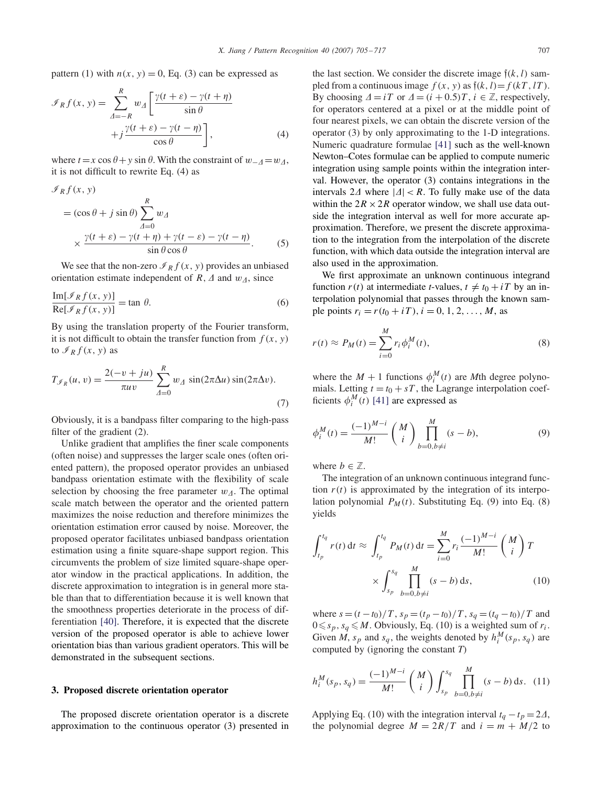pattern (1) with  $n(x, y) = 0$ , Eq. (3) can be expressed as

$$
\mathcal{I}_R f(x, y) = \sum_{\Delta = -R}^{R} w_{\Delta} \left[ \frac{\gamma(t + \varepsilon) - \gamma(t + \eta)}{\sin \theta} + j \frac{\gamma(t + \varepsilon) - \gamma(t - \eta)}{\cos \theta} \right],
$$
\n(4)

where  $t = x \cos \theta + y \sin \theta$ . With the constraint of  $w_{-4} = w_{4}$ , it is not difficult to rewrite Eq. (4) as

$$
\mathcal{I}_R f(x, y)
$$
  
=  $(\cos \theta + j \sin \theta) \sum_{\Delta=0}^R w_{\Delta}$   

$$
\times \frac{\gamma(t + \varepsilon) - \gamma(t + \eta) + \gamma(t - \varepsilon) - \gamma(t - \eta)}{\sin \theta \cos \theta}.
$$
 (5)

We see that the non-zero  $\mathcal{I}_R f(x, y)$  provides an unbiased orientation estimate independent of  $R$ ,  $\Delta$  and  $w_{\Delta}$ , since

$$
\frac{\text{Im}[\mathcal{I}_R f(x, y)]}{\text{Re}[\mathcal{I}_R f(x, y)]} = \tan \theta.
$$
 (6)

By using the translation property of the Fourier transform, it is not difficult to obtain the transfer function from  $f(x, y)$ to  $\mathcal{I}_R f(x, y)$  as

$$
T_{\mathcal{I}_R}(u, v) = \frac{2(-v + ju)}{\pi uv} \sum_{\Delta=0}^R w_{\Delta} \sin(2\pi \Delta u) \sin(2\pi \Delta v).
$$
\n(7)

Obviously, it is a bandpass filter comparing to the high-pass filter of the gradient (2).

Unlike gradient that amplifies the finer scale components (often noise) and suppresses the larger scale ones (often oriented pattern), the proposed operator provides an unbiased bandpass orientation estimate with the flexibility of scale selection by choosing the free parameter  $w_{\Delta}$ . The optimal scale match between the operator and the oriented pattern maximizes the noise reduction and therefore minimizes the orientation estimation error caused by noise. Moreover, the proposed operator facilitates unbiased bandpass orientation estimation using a finite square-shape support region. This circumvents the problem of size limited square-shape operator window in the practical applications. In addition, the discrete approximation to integration is in general more stable than that to differentiation because it is well known that the smoothness properties deteriorate in the process of differentiation [40]. Therefore, it is expected that the discrete version of the proposed operator is able to achieve lower orientation bias than various gradient operators. This will be demonstrated in the subsequent sections.

### **3. Proposed discrete orientation operator**

The proposed discrete orientation operator is a discrete approximation to the continuous operator (3) presented in the last section. We consider the discrete image  $\tilde{\mathfrak{f}}(k, l)$  sampled from a continuous image  $f(x, y)$  as  $\tilde{f}(k, l) = f(kT, lT)$ . By choosing  $\Delta = iT$  or  $\Delta = (i + 0.5)T$ ,  $i \in \mathbb{Z}$ , respectively, for operators centered at a pixel or at the middle point of four nearest pixels, we can obtain the discrete version of the operator (3) by only approximating to the 1-D integrations. Numeric quadrature formulae [41] such as the well-known Newton–Cotes formulae can be applied to compute numeric integration using sample points within the integration interval. However, the operator (3) contains integrations in the intervals  $2\Delta$  where  $|\Delta| < R$ . To fully make use of the data within the  $2R \times 2R$  operator window, we shall use data outside the integration interval as well for more accurate approximation. Therefore, we present the discrete approximation to the integration from the interpolation of the discrete function, with which data outside the integration interval are also used in the approximation.

We first approximate an unknown continuous integrand function  $r(t)$  at intermediate *t*-values,  $t \neq t_0 + iT$  by an interpolation polynomial that passes through the known sample points  $r_i = r(t_0 + iT)$ ,  $i = 0, 1, 2, ..., M$ , as

$$
r(t) \approx P_M(t) = \sum_{i=0}^{M} r_i \phi_i^M(t),
$$
\n(8)

where the  $M + 1$  functions  $\phi_i^M(t)$  are *M*th degree polynomials. Letting  $t = t_0 + sT$ , the Lagrange interpolation coefficients  $\phi_i^M(t)$  [41] are expressed as

$$
\phi_i^M(t) = \frac{(-1)^{M-i}}{M!} \binom{M}{i} \prod_{b=0, b \neq i}^M (s-b),\tag{9}
$$

where  $b \in \mathbb{Z}$ .

The integration of an unknown continuous integrand function  $r(t)$  is approximated by the integration of its interpolation polynomial  $P_M(t)$ . Substituting Eq. (9) into Eq. (8) yields

$$
\int_{t_p}^{t_q} r(t) dt \approx \int_{t_p}^{t_q} P_M(t) dt = \sum_{i=0}^{M} r_i \frac{(-1)^{M-i}}{M!} {M \choose i} T
$$

$$
\times \int_{s_p}^{s_q} \prod_{b=0, b \neq i}^{M} (s-b) ds,
$$
(10)

where  $s = (t - t_0)/T$ ,  $s_p = (t_p - t_0)/T$ ,  $s_q = (t_q - t_0)/T$  and  $0 \leq s_p$ ,  $s_q \leq M$ . Obviously, Eq. (10) is a weighted sum of  $r_i$ . Given *M*,  $s_p$  and  $s_q$ , the weights denoted by  $h_i^M(s_p, s_q)$  are computed by (ignoring the constant *T*)

$$
h_i^M(s_p, s_q) = \frac{(-1)^{M-i}}{M!} \binom{M}{i} \int_{s_p}^{s_q} \prod_{b=0, b \neq i}^M (s-b) \, \mathrm{d}s. \tag{11}
$$

Applying Eq. (10) with the integration interval  $t_q - t_p = 2\Delta$ , the polynomial degree  $M = 2R/T$  and  $i = m + M/2$  to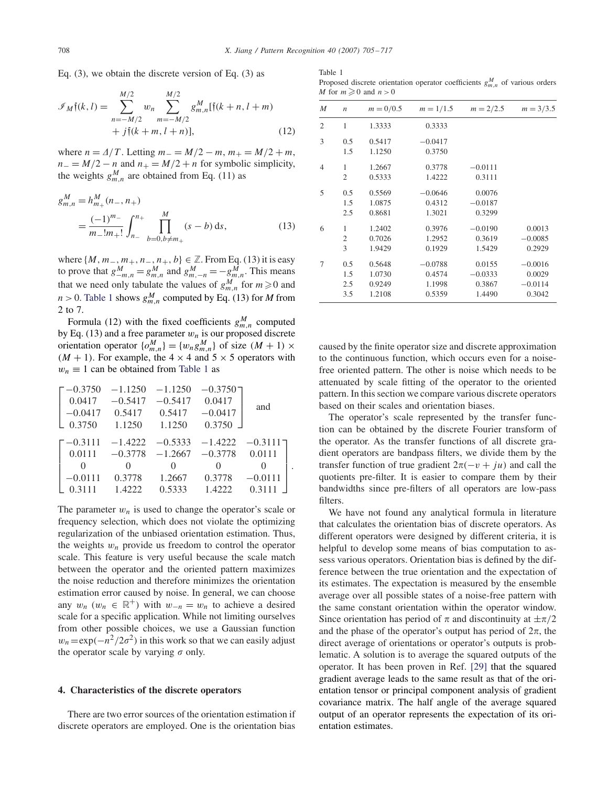Eq. (3), we obtain the discrete version of Eq. (3) as

$$
\mathcal{I}_M\mathfrak{f}(k,l) = \sum_{n=-M/2}^{M/2} w_n \sum_{m=-M/2}^{M/2} g_{m,n}^M[\mathfrak{f}(k+n,l+m) + j\mathfrak{f}(k+m,l+n)],
$$
\n(12)

where  $n = \frac{\Delta}{T}$ . Letting  $m_- = \frac{M}{2} - m$ ,  $m_+ = \frac{M}{2} + m$ ,  $n_ - = M/2 - n$  and  $n_ + = M/2 + n$  for symbolic simplicity, the weights  $g_{m,n}^M$  are obtained from Eq. (11) as

$$
g_{m,n}^M = h_{m+}^M(n_-, n_+)
$$
  
= 
$$
\frac{(-1)^{m_-}}{m_-!m_+!} \int_{n_-}^{n_+} \prod_{b=0, b \neq m_+}^M (s - b) \, ds,
$$
 (13)

where  $\{M, m_-, m_+, n_-, n_+, b\}$  ∈ ℤ. From Eq. (13) it is easy to prove that  $g_{-m,n}^M = g_{m,n}^M$  and  $g_{m,-n}^M = -g_{m,n}^M$ . This means that we need only tabulate the values of  $g_{m,n}^M$  for  $m \ge 0$  and  $n > 0$ . Table 1 shows  $g_{m,n}^M$  computed by Eq. (13) for *M* from 2 to 7.

Formula (12) with the fixed coefficients  $g_{m,n}^M$  computed by Eq. (13) and a free parameter  $w_n$  is our proposed discrete orientation operator  $\{o_{m,n}^M\} = \{w_n g_{m,n}^M\}$  of size  $(M + 1) \times$  $(M + 1)$ . For example, the 4  $\times$  4 and 5  $\times$  5 operators with  $w_n \equiv 1$  can be obtained from Table 1 as

$$
\begin{bmatrix} -0.3750 & -1.1250 & -1.1250 & -0.3750 \ 0.0417 & -0.5417 & -0.5417 & 0.0417 \ -0.0417 & 0.5417 & 0.5417 & -0.0417 \ 0.3750 & 1.1250 & 1.1250 & 0.3750 \ \end{bmatrix}
$$
 and  
\n
$$
\begin{bmatrix} -0.3111 & -1.4222 & -0.5333 & -1.4222 & -0.3111 \ 0.0111 & -0.3778 & -1.2667 & -0.3778 & 0.0111 \ 0 & 0 & 0 & 0 \ -0.0111 & 0.3778 & 1.2667 & 0.3778 & -0.0111 \ 0.3111 & 1.4222 & 0.5333 & 1.4222 & 0.3111 \end{bmatrix}.
$$

The parameter  $w_n$  is used to change the operator's scale or frequency selection, which does not violate the optimizing regularization of the unbiased orientation estimation. Thus, the weights  $w_n$  provide us freedom to control the operator scale. This feature is very useful because the scale match between the operator and the oriented pattern maximizes the noise reduction and therefore minimizes the orientation estimation error caused by noise. In general, we can choose any  $w_n$  ( $w_n \in \mathbb{R}^+$ ) with  $w_{-n} = w_n$  to achieve a desired scale for a specific application. While not limiting ourselves from other possible choices, we use a Gaussian function  $w_n=\exp(-n^2/2\sigma^2)$  in this work so that we can easily adjust the operator scale by varying  $\sigma$  only.

#### **4. Characteristics of the discrete operators**

There are two error sources of the orientation estimation if discrete operators are employed. One is the orientation bias

Table 1 Proposed discrete orientation operator coefficients  $g_{m,n}^M$  of various orders *M* for  $m \ge 0$  and  $n > 0$ 

| M              | $\boldsymbol{n}$ | $m = 0/0.5$ | $m = 1/1.5$ | $m = 2/2.5$ | $m = 3/3.5$ |
|----------------|------------------|-------------|-------------|-------------|-------------|
| 2              | 1                | 1.3333      | 0.3333      |             |             |
| 3              | 0.5              | 0.5417      | $-0.0417$   |             |             |
|                | 1.5              | 1.1250      | 0.3750      |             |             |
| $\overline{4}$ | 1                | 1.2667      | 0.3778      | $-0.0111$   |             |
|                | 2                | 0.5333      | 1.4222      | 0.3111      |             |
| 5              | 0.5              | 0.5569      | $-0.0646$   | 0.0076      |             |
|                | 1.5              | 1.0875      | 0.4312      | $-0.0187$   |             |
|                | 2.5              | 0.8681      | 1.3021      | 0.3299      |             |
| 6              | 1                | 1.2402      | 0.3976      | $-0.0190$   | 0.0013      |
|                | 2                | 0.7026      | 1.2952      | 0.3619      | $-0.0085$   |
|                | 3                | 1.9429      | 0.1929      | 1.5429      | 0.2929      |
| 7              | 0.5              | 0.5648      | $-0.0788$   | 0.0155      | $-0.0016$   |
|                | 1.5              | 1.0730      | 0.4574      | $-0.0333$   | 0.0029      |
|                | 2.5              | 0.9249      | 1.1998      | 0.3867      | $-0.0114$   |
|                | 3.5              | 1.2108      | 0.5359      | 1.4490      | 0.3042      |

caused by the finite operator size and discrete approximation to the continuous function, which occurs even for a noisefree oriented pattern. The other is noise which needs to be attenuated by scale fitting of the operator to the oriented pattern. In this section we compare various discrete operators based on their scales and orientation biases.

The operator's scale represented by the transfer function can be obtained by the discrete Fourier transform of the operator. As the transfer functions of all discrete gradient operators are bandpass filters, we divide them by the transfer function of true gradient  $2\pi(-v + iu)$  and call the quotients pre-filter. It is easier to compare them by their bandwidths since pre-filters of all operators are low-pass filters.

We have not found any analytical formula in literature that calculates the orientation bias of discrete operators. As different operators were designed by different criteria, it is helpful to develop some means of bias computation to assess various operators. Orientation bias is defined by the difference between the true orientation and the expectation of its estimates. The expectation is measured by the ensemble average over all possible states of a noise-free pattern with the same constant orientation within the operator window. Since orientation has period of  $\pi$  and discontinuity at  $\pm \pi/2$ and the phase of the operator's output has period of  $2\pi$ , the direct average of orientations or operator's outputs is problematic. A solution is to average the squared outputs of the operator. It has been proven in Ref. [29] that the squared gradient average leads to the same result as that of the orientation tensor or principal component analysis of gradient covariance matrix. The half angle of the average squared output of an operator represents the expectation of its orientation estimates.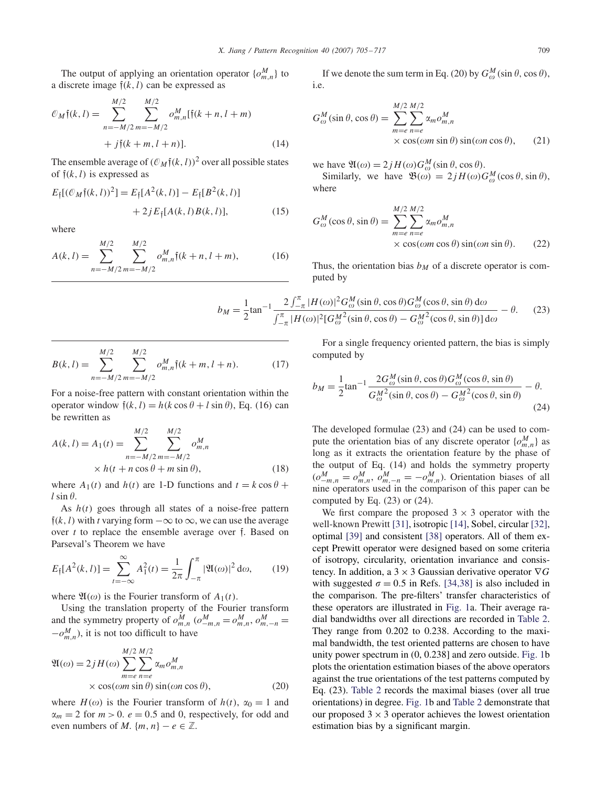The output of applying an orientation operator  $\{o_{m,n}^M\}$  to a discrete image  $\mathfrak{f}(k, l)$  can be expressed as

$$
\mathcal{O}_M\mathfrak{f}(k,l) = \sum_{n=-M/2}^{M/2} \sum_{m=-M/2}^{M/2} o_{m,n}^M[\mathfrak{f}(k+n, l+m) + j\mathfrak{f}(k+m, l+n)].
$$
\n(14)

The ensemble average of  $(\mathcal{O}_M\mathfrak{f}(k, l))^2$  over all possible states of  $f(k, l)$  is expressed as

$$
E_{\tilde{\dagger}}[(\mathcal{O}_M\tilde{\dagger}(k,l))^2] = E_{\tilde{\dagger}}[A^2(k,l)] - E_{\tilde{\dagger}}[B^2(k,l)] + 2jE_{\tilde{\dagger}}[A(k,l)B(k,l)],
$$
 (15)

where

$$
A(k,l) = \sum_{n=-M/2}^{M/2} \sum_{m=-M/2}^{M/2} o_{m,n}^M \mathfrak{f}(k+n, l+m), \tag{16}
$$

If we denote the sum term in Eq. (20) by  $G_{\omega}^{M}(\sin \theta, \cos \theta)$ , i.e.

$$
G_{\omega}^{M}(\sin \theta, \cos \theta) = \sum_{m=e}^{M/2} \sum_{n=e}^{M/2} \alpha_{m} o_{m,n}^{M}
$$
  
× cos( $\omega m \sin \theta$ ) sin( $\omega n \cos \theta$ ), (21)

we have  $\mathfrak{A}(\omega) = 2jH(\omega)G_{\omega}^{M}(\sin \theta, \cos \theta)$ .

Similarly, we have  $\mathfrak{B}(\omega) = 2jH(\omega)G_{\omega}^{M}(\cos\theta, \sin\theta),$ where

$$
G_{\omega}^{M}(\cos\theta,\sin\theta) = \sum_{m=e}^{M/2} \sum_{n=e}^{M/2} \alpha_{m} \omicron_{m,n}^{M}
$$
  
× cos( $\omega m \cos \theta$ ) sin( $\omega n \sin \theta$ ). (22)

Thus, the orientation bias  $b_M$  of a discrete operator is computed by

$$
b_M = \frac{1}{2} \tan^{-1} \frac{2 \int_{-\pi}^{\pi} |H(\omega)|^2 G_{\omega}^M(\sin \theta, \cos \theta) G_{\omega}^M(\cos \theta, \sin \theta) d\omega}{\int_{-\pi}^{\pi} |H(\omega)|^2 [G_{\omega}^{M^2}(\sin \theta, \cos \theta) - G_{\omega}^{M^2}(\cos \theta, \sin \theta)] d\omega} - \theta.
$$
 (23)

$$
B(k,l) = \sum_{n=-M/2}^{M/2} \sum_{m=-M/2}^{M/2} o_{m,n}^M \mathfrak{f}(k+m, l+n).
$$
 (17)

For a noise-free pattern with constant orientation within the operator window  $\mathfrak{f}(k, l) = h(k \cos \theta + l \sin \theta)$ , Eq. (16) can be rewritten as

$$
A(k, l) = A_1(t) = \sum_{n=-M/2}^{M/2} \sum_{m=-M/2}^{M/2} o_{m,n}^M
$$
  
× h(t + n cos θ + m sin θ), (18)

where  $A_1(t)$  and  $h(t)$  are 1-D functions and  $t = k \cos \theta + \epsilon$  $l \sin \theta$ .

As  $h(t)$  goes through all states of a noise-free pattern  $\mathfrak{f}(k, l)$  with *t* varying form  $-\infty$  to  $\infty$ , we can use the average over *t* to replace the ensemble average over f. Based on Parseval's Theorem we have

$$
E_{\mathfrak{f}}[A^2(k,l)] = \sum_{t=-\infty}^{\infty} A_1^2(t) = \frac{1}{2\pi} \int_{-\pi}^{\pi} |\mathfrak{A}(\omega)|^2 d\omega, \qquad (19)
$$

where  $\mathfrak{A}(\omega)$  is the Fourier transform of  $A_1(t)$ .

Using the translation property of the Fourier transform and the symmetry property of  $o_{m,n}^M$  ( $o_{-m,n}^M = o_{m,n}^M$ ,  $o_{m,-n}^M = o_{m,n}^M$ )  $-o_{m,n}^M$ ), it is not too difficult to have

$$
\mathfrak{A}(\omega) = 2j H(\omega) \sum_{m=e}^{M/2} \sum_{n=e}^{M/2} \alpha_m o_{m,n}^M
$$
  
× cos( $\omega m$  sin  $\theta$ ) sin( $\omega n$  cos  $\theta$ ), (20)

where  $H(\omega)$  is the Fourier transform of  $h(t)$ ,  $\alpha_0 = 1$  and  $\alpha_m = 2$  for  $m > 0$ .  $e = 0.5$  and 0, respectively, for odd and even numbers of *M*.  $\{m, n\} - e \in \mathbb{Z}$ .

For a single frequency oriented pattern, the bias is simply computed by

$$
b_M = \frac{1}{2} \tan^{-1} \frac{2G_{\omega}^M (\sin \theta, \cos \theta) G_{\omega}^M (\cos \theta, \sin \theta)}{G_{\omega}^{M^2} (\sin \theta, \cos \theta) - G_{\omega}^{M^2} (\cos \theta, \sin \theta)} - \theta.
$$
\n(24)

The developed formulae (23) and (24) can be used to compute the orientation bias of any discrete operator  $\{o_{m,n}^M\}$  as long as it extracts the orientation feature by the phase of the output of Eq. (14) and holds the symmetry property  $(o_{-m,n}^M = o_{m,n}^M, o_{m,-n}^M = -o_{m,n}^M)$ . Orientation biases of all nine operators used in the comparison of this paper can be computed by Eq.  $(23)$  or  $(24)$ .

We first compare the proposed  $3 \times 3$  operator with the well-known Prewitt [31], isotropic [14], Sobel, circular [32], optimal [39] and consistent [38] operators. All of them except Prewitt operator were designed based on some criteria of isotropy, circularity, orientation invariance and consistency. In addition, a  $3 \times 3$  Gaussian derivative operator  $\nabla G$ with suggested  $\sigma = 0.5$  in Refs. [34,38] is also included in the comparison. The pre-filters' transfer characteristics of these operators are illustrated in Fig. 1a. Their average radial bandwidths over all directions are recorded in Table 2. They range from 0.202 to 0.238. According to the maximal bandwidth, the test oriented patterns are chosen to have unity power spectrum in (0, 0.238] and zero outside. Fig. 1b plots the orientation estimation biases of the above operators against the true orientations of the test patterns computed by Eq. (23). Table 2 records the maximal biases (over all true orientations) in degree. Fig. 1b and Table 2 demonstrate that our proposed  $3 \times 3$  operator achieves the lowest orientation estimation bias by a significant margin.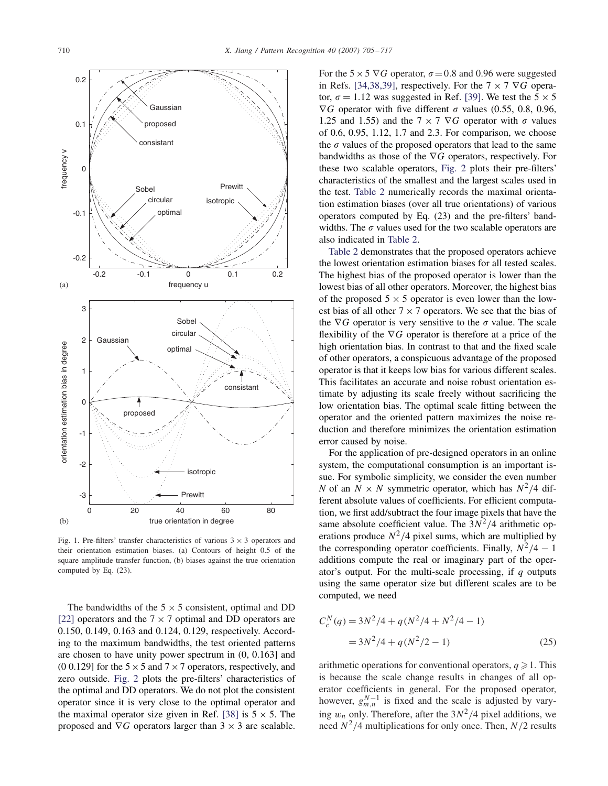

Fig. 1. Pre-filters' transfer characteristics of various  $3 \times 3$  operators and their orientation estimation biases. (a) Contours of height 0.5 of the square amplitude transfer function, (b) biases against the true orientation computed by Eq. (23).

The bandwidths of the  $5 \times 5$  consistent, optimal and DD [22] operators and the  $7 \times 7$  optimal and DD operators are 0.150, 0.149, 0.163 and 0.124, 0.129, respectively. According to the maximum bandwidths, the test oriented patterns are chosen to have unity power spectrum in (0, 0.163] and (0 0.129] for the  $5 \times 5$  and  $7 \times 7$  operators, respectively, and zero outside. Fig. 2 plots the pre-filters' characteristics of the optimal and DD operators. We do not plot the consistent operator since it is very close to the optimal operator and the maximal operator size given in Ref. [38] is  $5 \times 5$ . The proposed and  $\nabla G$  operators larger than 3  $\times$  3 are scalable.

For the  $5 \times 5 \nabla G$  operator,  $\sigma = 0.8$  and 0.96 were suggested in Refs. [34,38,39], respectively. For the  $7 \times 7 \nabla G$  operator,  $\sigma = 1.12$  was suggested in Ref. [39]. We test the  $5 \times 5$  $\nabla G$  operator with five different  $\sigma$  values (0.55, 0.8, 0.96, 1.25 and 1.55) and the 7  $\times$  7  $\nabla G$  operator with  $\sigma$  values of 0.6, 0.95, 1.12, 1.7 and 2.3. For comparison, we choose the  $\sigma$  values of the proposed operators that lead to the same bandwidths as those of the ∇G operators, respectively. For these two scalable operators, Fig. 2 plots their pre-filters' characteristics of the smallest and the largest scales used in the test. Table 2 numerically records the maximal orientation estimation biases (over all true orientations) of various operators computed by Eq. (23) and the pre-filters' bandwidths. The  $\sigma$  values used for the two scalable operators are also indicated in Table 2.

Table 2 demonstrates that the proposed operators achieve the lowest orientation estimation biases for all tested scales. The highest bias of the proposed operator is lower than the lowest bias of all other operators. Moreover, the highest bias of the proposed  $5 \times 5$  operator is even lower than the lowest bias of all other  $7 \times 7$  operators. We see that the bias of the  $\nabla G$  operator is very sensitive to the  $\sigma$  value. The scale flexibility of the  $\nabla G$  operator is therefore at a price of the high orientation bias. In contrast to that and the fixed scale of other operators, a conspicuous advantage of the proposed operator is that it keeps low bias for various different scales. This facilitates an accurate and noise robust orientation estimate by adjusting its scale freely without sacrificing the low orientation bias. The optimal scale fitting between the operator and the oriented pattern maximizes the noise reduction and therefore minimizes the orientation estimation error caused by noise.

For the application of pre-designed operators in an online system, the computational consumption is an important issue. For symbolic simplicity, we consider the even number *N* of an  $N \times N$  symmetric operator, which has  $N^2/4$  different absolute values of coefficients. For efficient computation, we first add/subtract the four image pixels that have the same absolute coefficient value. The  $3N^2/4$  arithmetic operations produce  $N^2/4$  pixel sums, which are multiplied by the corresponding operator coefficients. Finally,  $N^2/4 - 1$ additions compute the real or imaginary part of the operator's output. For the multi-scale processing, if *q* outputs using the same operator size but different scales are to be computed, we need

$$
C_c^N(q) = 3N^2/4 + q(N^2/4 + N^2/4 - 1)
$$
  
= 3N^2/4 + q(N^2/2 - 1) (25)

arithmetic operations for conventional operators,  $q \geq 1$ . This is because the scale change results in changes of all operator coefficients in general. For the proposed operator, however,  $g_{m,n}^{N-1}$  is fixed and the scale is adjusted by varying  $w_n$  only. Therefore, after the  $3N^2/4$  pixel additions, we need  $N^2/4$  multiplications for only once. Then,  $N/2$  results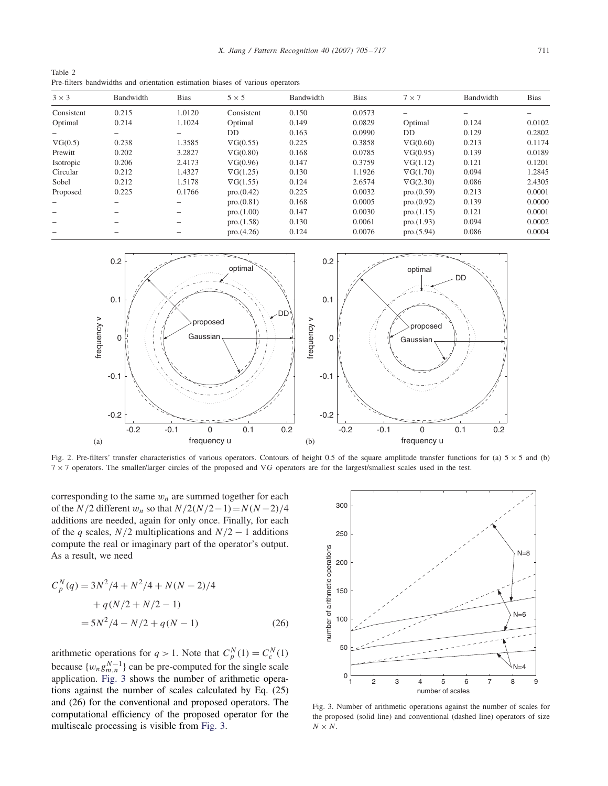Table 2 Pre-filters bandwidths and orientation estimation biases of various operators

| $3 \times 3$    | Bandwidth | <b>Bias</b>     | $5 \times 5$     | Bandwidth | <b>Bias</b> | $7 \times 7$     | Bandwidth | <b>Bias</b> |
|-----------------|-----------|-----------------|------------------|-----------|-------------|------------------|-----------|-------------|
| Consistent      | 0.215     | 1.0120          | Consistent       | 0.150     | 0.0573      |                  |           |             |
| Optimal         | 0.214     | 1.1024          | Optimal          | 0.149     | 0.0829      | Optimal          | 0.124     | 0.0102      |
|                 |           |                 | DD.              | 0.163     | 0.0990      | DD               | 0.129     | 0.2802      |
| $\nabla G(0.5)$ | 0.238     | 1.3585          | $\nabla G(0.55)$ | 0.225     | 0.3858      | $\nabla G(0.60)$ | 0.213     | 0.1174      |
| Prewitt         | 0.202     | 3.2827          | $\nabla G(0.80)$ | 0.168     | 0.0785      | $\nabla G(0.95)$ | 0.139     | 0.0189      |
| Isotropic       | 0.206     | 2.4173          | $\nabla G(0.96)$ | 0.147     | 0.3759      | $\nabla G(1.12)$ | 0.121     | 0.1201      |
| Circular        | 0.212     | 1.4327          | $\nabla G(1.25)$ | 0.130     | 1.1926      | $\nabla G(1.70)$ | 0.094     | 1.2845      |
| Sobel           | 0.212     | 1.5178          | $\nabla G(1.55)$ | 0.124     | 2.6574      | $\nabla G(2.30)$ | 0.086     | 2.4305      |
| Proposed        | 0.225     | 0.1766          | pro.(0.42)       | 0.225     | 0.0032      | pro.(0.59)       | 0.213     | 0.0001      |
|                 |           |                 | pro.(0.81)       | 0.168     | 0.0005      | pro.(0.92)       | 0.139     | 0.0000      |
|                 |           |                 | pro.(1.00)       | 0.147     | 0.0030      | pro.(1.15)       | 0.121     | 0.0001      |
|                 |           | $\qquad \qquad$ | pro.(1.58)       | 0.130     | 0.0061      | pro.(1.93)       | 0.094     | 0.0002      |
|                 |           |                 | pro.(4.26)       | 0.124     | 0.0076      | pro.(5.94)       | 0.086     | 0.0004      |



Fig. 2. Pre-filters' transfer characteristics of various operators. Contours of height 0.5 of the square amplitude transfer functions for (a)  $5 \times 5$  and (b) 7 × 7 operators. The smaller/larger circles of the proposed and ∇G operators are for the largest/smallest scales used in the test.

corresponding to the same  $w_n$  are summed together for each of the  $N/2$  different  $w_n$  so that  $N/2(N/2-1)=N(N-2)/4$ additions are needed, again for only once. Finally, for each of the *q* scales,  $N/2$  multiplications and  $N/2 - 1$  additions compute the real or imaginary part of the operator's output. As a result, we need

$$
C_p^N(q) = 3N^2/4 + N^2/4 + N(N - 2)/4
$$
  
+  $q(N/2 + N/2 - 1)$   
=  $5N^2/4 - N/2 + q(N - 1)$  (26)

arithmetic operations for  $q > 1$ . Note that  $C_p^N(1) = C_c^N(1)$ because  $\{w_n g_{m,n}^{N-1}\}\)$  can be pre-computed for the single scale application. Fig. 3 shows the number of arithmetic operations against the number of scales calculated by Eq. (25) and (26) for the conventional and proposed operators. The computational efficiency of the proposed operator for the multiscale processing is visible from Fig. 3.



Fig. 3. Number of arithmetic operations against the number of scales for the proposed (solid line) and conventional (dashed line) operators of size  $N \times N$ .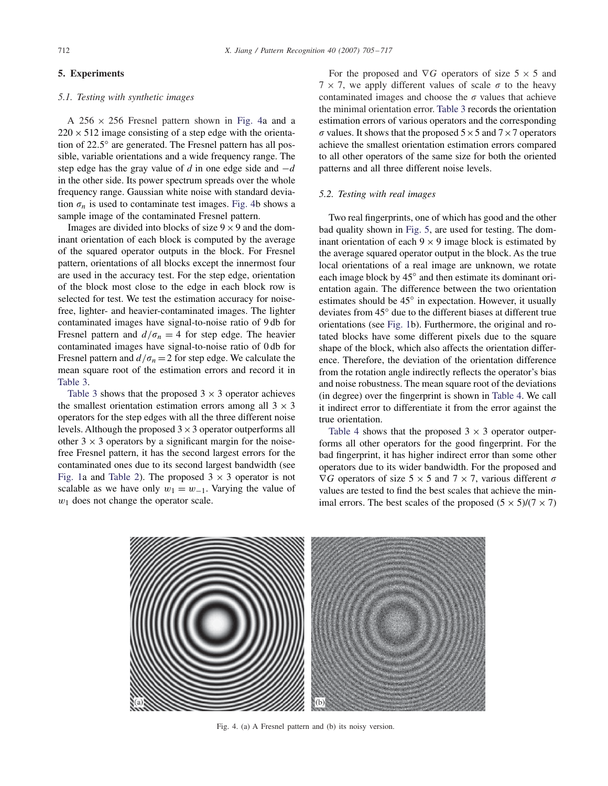# **5. Experiments**

# *5.1. Testing with synthetic images*

A  $256 \times 256$  Fresnel pattern shown in Fig. 4a and a  $220 \times 512$  image consisting of a step edge with the orientation of 22.5◦ are generated. The Fresnel pattern has all possible, variable orientations and a wide frequency range. The step edge has the gray value of *d* in one edge side and −d in the other side. Its power spectrum spreads over the whole frequency range. Gaussian white noise with standard deviation  $\sigma_n$  is used to contaminate test images. Fig. 4b shows a sample image of the contaminated Fresnel pattern.

Images are divided into blocks of size  $9 \times 9$  and the dominant orientation of each block is computed by the average of the squared operator outputs in the block. For Fresnel pattern, orientations of all blocks except the innermost four are used in the accuracy test. For the step edge, orientation of the block most close to the edge in each block row is selected for test. We test the estimation accuracy for noisefree, lighter- and heavier-contaminated images. The lighter contaminated images have signal-to-noise ratio of 9 db for Fresnel pattern and  $d/\sigma_n = 4$  for step edge. The heavier contaminated images have signal-to-noise ratio of 0 db for Fresnel pattern and  $d/\sigma_n = 2$  for step edge. We calculate the mean square root of the estimation errors and record it in Table 3.

Table 3 shows that the proposed  $3 \times 3$  operator achieves the smallest orientation estimation errors among all  $3 \times 3$ operators for the step edges with all the three different noise levels. Although the proposed  $3 \times 3$  operator outperforms all other  $3 \times 3$  operators by a significant margin for the noisefree Fresnel pattern, it has the second largest errors for the contaminated ones due to its second largest bandwidth (see Fig. 1a and Table 2). The proposed  $3 \times 3$  operator is not scalable as we have only  $w_1 = w_{-1}$ . Varying the value of  $w_1$  does not change the operator scale.

For the proposed and  $\nabla G$  operators of size 5  $\times$  5 and  $7 \times 7$ , we apply different values of scale  $\sigma$  to the heavy contaminated images and choose the  $\sigma$  values that achieve the minimal orientation error. Table 3 records the orientation estimation errors of various operators and the corresponding  $\sigma$  values. It shows that the proposed  $5\times 5$  and  $7\times 7$  operators achieve the smallest orientation estimation errors compared to all other operators of the same size for both the oriented patterns and all three different noise levels.

## *5.2. Testing with real images*

Two real fingerprints, one of which has good and the other bad quality shown in Fig. 5, are used for testing. The dominant orientation of each  $9 \times 9$  image block is estimated by the average squared operator output in the block. As the true local orientations of a real image are unknown, we rotate each image block by 45◦ and then estimate its dominant orientation again. The difference between the two orientation estimates should be 45◦ in expectation. However, it usually deviates from 45◦ due to the different biases at different true orientations (see Fig. 1b). Furthermore, the original and rotated blocks have some different pixels due to the square shape of the block, which also affects the orientation difference. Therefore, the deviation of the orientation difference from the rotation angle indirectly reflects the operator's bias and noise robustness. The mean square root of the deviations (in degree) over the fingerprint is shown in Table 4. We call it indirect error to differentiate it from the error against the true orientation.

Table 4 shows that the proposed  $3 \times 3$  operator outperforms all other operators for the good fingerprint. For the bad fingerprint, it has higher indirect error than some other operators due to its wider bandwidth. For the proposed and  $\nabla G$  operators of size 5  $\times$  5 and 7  $\times$  7, various different  $\sigma$ values are tested to find the best scales that achieve the minimal errors. The best scales of the proposed  $(5 \times 5)/(7 \times 7)$ 



Fig. 4. (a) A Fresnel pattern and (b) its noisy version.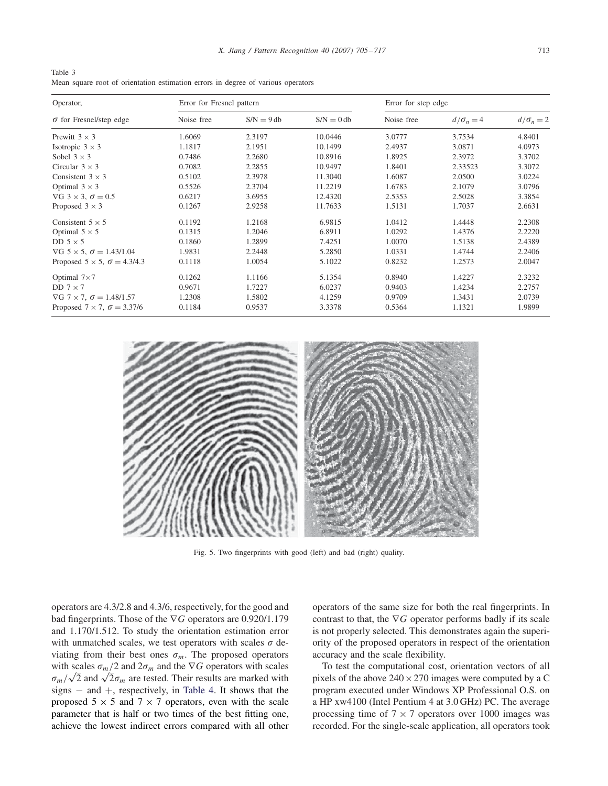Table 3 Mean square root of orientation estimation errors in degree of various operators

| Operator,                                  | Error for Fresnel pattern |              |              | Error for step edge |                |                  |  |
|--------------------------------------------|---------------------------|--------------|--------------|---------------------|----------------|------------------|--|
| $\sigma$ for Fresnel/step edge             | Noise free                | $S/N = 9 db$ | $S/N = 0$ db | Noise free          | $d/\sigma_n=4$ | $d/\sigma_n = 2$ |  |
| Prewitt $3 \times 3$                       | 1.6069                    | 2.3197       | 10.0446      | 3.0777              | 3.7534         | 4.8401           |  |
| Isotropic $3 \times 3$                     | 1.1817                    | 2.1951       | 10.1499      | 2.4937              | 3.0871         | 4.0973           |  |
| Sobel $3 \times 3$                         | 0.7486                    | 2.2680       | 10.8916      | 1.8925              | 2.3972         | 3.3702           |  |
| Circular $3 \times 3$                      | 0.7082                    | 2.2855       | 10.9497      | 1.8401              | 2.33523        | 3.3072           |  |
| Consistent $3 \times 3$                    | 0.5102                    | 2.3978       | 11.3040      | 1.6087              | 2.0500         | 3.0224           |  |
| Optimal $3 \times 3$                       | 0.5526                    | 2.3704       | 11.2219      | 1.6783              | 2.1079         | 3.0796           |  |
| $\nabla G$ 3 $\times$ 3, $\sigma$ = 0.5    | 0.6217                    | 3.6955       | 12.4320      | 2.5353              | 2.5028         | 3.3854           |  |
| Proposed $3 \times 3$                      | 0.1267                    | 2.9258       | 11.7633      | 1.5131              | 1.7037         | 2.6631           |  |
| Consistent $5 \times 5$                    | 0.1192                    | 1.2168       | 6.9815       | 1.0412              | 1.4448         | 2.2308           |  |
| Optimal $5 \times 5$                       | 0.1315                    | 1.2046       | 6.8911       | 1.0292              | 1.4376         | 2.2220           |  |
| DD $5 \times 5$                            | 0.1860                    | 1.2899       | 7.4251       | 1.0070              | 1.5138         | 2.4389           |  |
| $\nabla G$ 5 × 5, $\sigma = 1.43/1.04$     | 1.9831                    | 2.2448       | 5.2850       | 1.0331              | 1.4744         | 2.2406           |  |
| Proposed $5 \times 5$ , $\sigma = 4.3/4.3$ | 0.1118                    | 1.0054       | 5.1022       | 0.8232              | 1.2573         | 2.0047           |  |
| Optimal $7\times7$                         | 0.1262                    | 1.1166       | 5.1354       | 0.8940              | 1.4227         | 2.3232           |  |
| DD $7 \times 7$                            | 0.9671                    | 1.7227       | 6.0237       | 0.9403              | 1.4234         | 2.2757           |  |
| $\nabla G$ 7 × 7, $\sigma = 1.48/1.57$     | 1.2308                    | 1.5802       | 4.1259       | 0.9709              | 1.3431         | 2.0739           |  |
| Proposed $7 \times 7$ , $\sigma = 3.37/6$  | 0.1184                    | 0.9537       | 3.3378       | 0.5364              | 1.1321         | 1.9899           |  |



Fig. 5. Two fingerprints with good (left) and bad (right) quality.

operators are 4.3/2.8 and 4.3/6, respectively, for the good and bad fingerprints. Those of the ∇G operators are 0.920/1.179 and 1.170/1.512. To study the orientation estimation error with unmatched scales, we test operators with scales  $\sigma$  deviating from their best ones  $\sigma_m$ . The proposed operators with scales  $\sigma_m/2$  and  $2\sigma_m$  and the  $\nabla G$  operators with scales  $\sigma_m/\sqrt{2}$  and  $\sqrt{2}\sigma_m$  are tested. Their results are marked with signs − and +, respectively, in Table 4. It shows that the proposed  $5 \times 5$  and  $7 \times 7$  operators, even with the scale parameter that is half or two times of the best fitting one, achieve the lowest indirect errors compared with all other operators of the same size for both the real fingerprints. In contrast to that, the  $\nabla G$  operator performs badly if its scale is not properly selected. This demonstrates again the superiority of the proposed operators in respect of the orientation accuracy and the scale flexibility.

To test the computational cost, orientation vectors of all pixels of the above  $240 \times 270$  images were computed by a C program executed under Windows XP Professional O.S. on a HP xw4100 (Intel Pentium 4 at 3.0 GHz) PC. The average processing time of  $7 \times 7$  operators over 1000 images was recorded. For the single-scale application, all operators took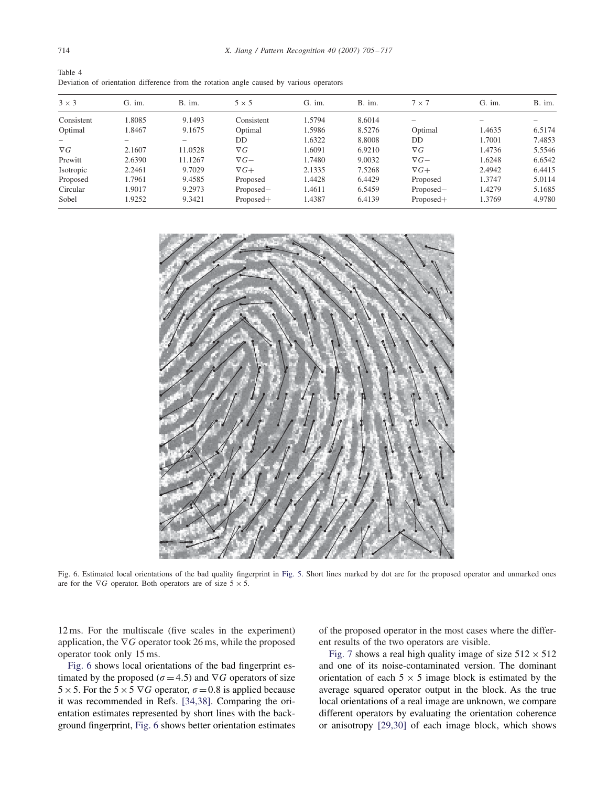| Table 4                                                                                 |  |  |  |  |  |
|-----------------------------------------------------------------------------------------|--|--|--|--|--|
| Deviation of orientation difference from the rotation angle caused by various operators |  |  |  |  |  |

| $3 \times 3$ | $G.$ im. | B. im.  | $5 \times 5$ | $G.$ im. | B. im. | $7 \times 7$ | $G.$ im. | B. im. |
|--------------|----------|---------|--------------|----------|--------|--------------|----------|--------|
| Consistent   | .8085    | 9.1493  | Consistent   | 1.5794   | 8.6014 |              |          |        |
| Optimal      | 1.8467   | 9.1675  | Optimal      | 1.5986   | 8.5276 | Optimal      | 1.4635   | 6.5174 |
|              |          |         | DD           | 1.6322   | 8.8008 | DD           | 1.7001   | 7.4853 |
| $\nabla G$   | 2.1607   | 11.0528 | $\nabla G$   | 1.6091   | 6.9210 | $\nabla G$   | 1.4736   | 5.5546 |
| Prewitt      | 2.6390   | 11.1267 | $\nabla G$ – | 1.7480   | 9.0032 | $\nabla G$ – | 1.6248   | 6.6542 |
| Isotropic    | 2.2461   | 9.7029  | $\nabla G +$ | 2.1335   | 7.5268 | $\nabla G+$  | 2.4942   | 6.4415 |
| Proposed     | 1.7961   | 9.4585  | Proposed     | 1.4428   | 6.4429 | Proposed     | 1.3747   | 5.0114 |
| Circular     | 1.9017   | 9.2973  | Proposed-    | 1.4611   | 6.5459 | Proposed-    | 1.4279   | 5.1685 |
| Sobel        | 1.9252   | 9.3421  | $Proposed+$  | 1.4387   | 6.4139 | $Proposed+$  | 1.3769   | 4.9780 |



Fig. 6. Estimated local orientations of the bad quality fingerprint in Fig. 5. Short lines marked by dot are for the proposed operator and unmarked ones are for the  $\nabla G$  operator. Both operators are of size  $5 \times 5$ .

12 ms. For the multiscale (five scales in the experiment) application, the  $\nabla G$  operator took 26 ms, while the proposed operator took only 15 ms.

Fig. 6 shows local orientations of the bad fingerprint estimated by the proposed ( $\sigma$  = 4.5) and  $\nabla G$  operators of size 5 × 5. For the 5 × 5  $\nabla G$  operator,  $\sigma$  = 0.8 is applied because it was recommended in Refs. [34,38]. Comparing the orientation estimates represented by short lines with the background fingerprint, Fig. 6 shows better orientation estimates of the proposed operator in the most cases where the different results of the two operators are visible.

Fig. 7 shows a real high quality image of size  $512 \times 512$ and one of its noise-contaminated version. The dominant orientation of each  $5 \times 5$  image block is estimated by the average squared operator output in the block. As the true local orientations of a real image are unknown, we compare different operators by evaluating the orientation coherence or anisotropy [29,30] of each image block, which shows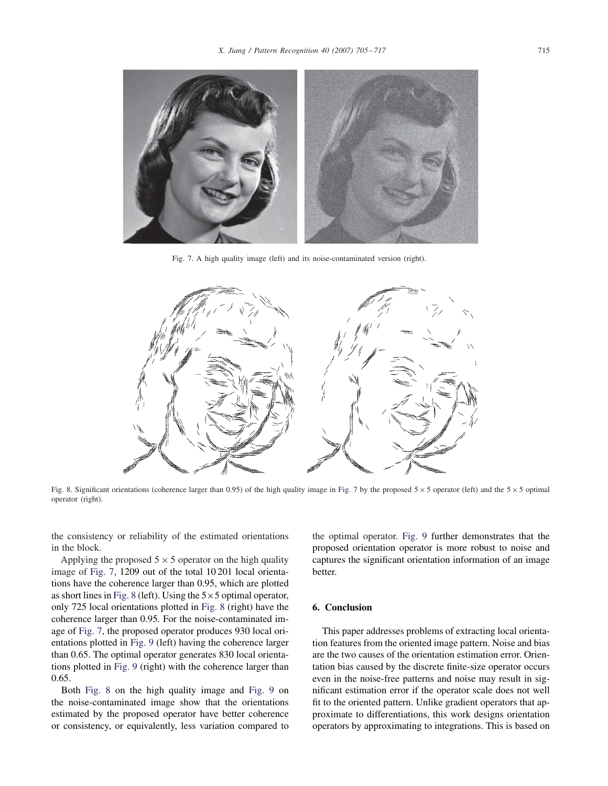

Fig. 7. A high quality image (left) and its noise-contaminated version (right).



Fig. 8. Significant orientations (coherence larger than 0.95) of the high quality image in Fig. 7 by the proposed  $5 \times 5$  operator (left) and the  $5 \times 5$  optimal operator (right).

the consistency or reliability of the estimated orientations in the block.

Applying the proposed  $5 \times 5$  operator on the high quality image of Fig. 7, 1209 out of the total 10 201 local orientations have the coherence larger than 0.95, which are plotted as short lines in Fig. 8 (left). Using the  $5 \times 5$  optimal operator, only 725 local orientations plotted in Fig. 8 (right) have the coherence larger than 0.95. For the noise-contaminated image of Fig. 7, the proposed operator produces 930 local orientations plotted in Fig. 9 (left) having the coherence larger than 0.65. The optimal operator generates 830 local orientations plotted in Fig. 9 (right) with the coherence larger than 0.65.

Both Fig. 8 on the high quality image and Fig. 9 on the noise-contaminated image show that the orientations estimated by the proposed operator have better coherence or consistency, or equivalently, less variation compared to the optimal operator. Fig. 9 further demonstrates that the proposed orientation operator is more robust to noise and captures the significant orientation information of an image better.

## **6. Conclusion**

This paper addresses problems of extracting local orientation features from the oriented image pattern. Noise and bias are the two causes of the orientation estimation error. Orientation bias caused by the discrete finite-size operator occurs even in the noise-free patterns and noise may result in significant estimation error if the operator scale does not well fit to the oriented pattern. Unlike gradient operators that approximate to differentiations, this work designs orientation operators by approximating to integrations. This is based on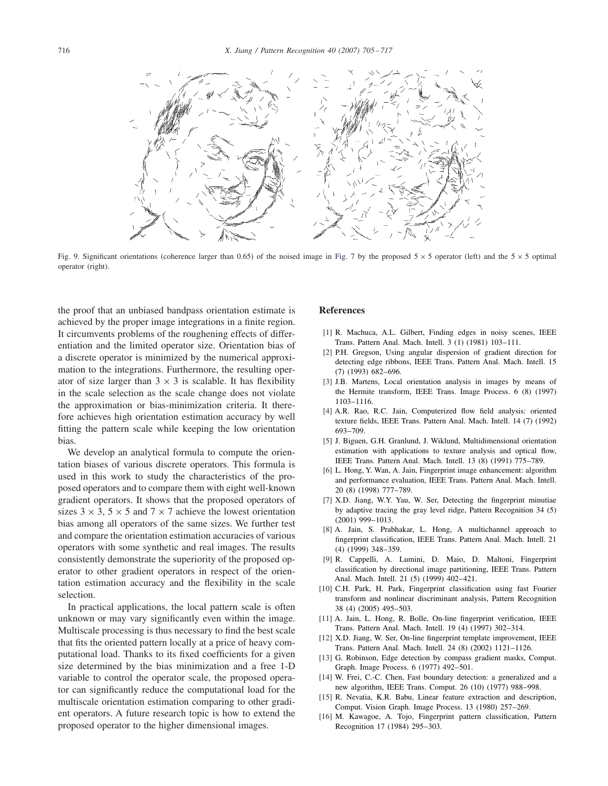

Fig. 9. Significant orientations (coherence larger than 0.65) of the noised image in Fig. 7 by the proposed  $5 \times 5$  operator (left) and the  $5 \times 5$  optimal operator (right).

the proof that an unbiased bandpass orientation estimate is achieved by the proper image integrations in a finite region. It circumvents problems of the roughening effects of differentiation and the limited operator size. Orientation bias of a discrete operator is minimized by the numerical approximation to the integrations. Furthermore, the resulting operator of size larger than  $3 \times 3$  is scalable. It has flexibility in the scale selection as the scale change does not violate the approximation or bias-minimization criteria. It therefore achieves high orientation estimation accuracy by well fitting the pattern scale while keeping the low orientation bias.

We develop an analytical formula to compute the orientation biases of various discrete operators. This formula is used in this work to study the characteristics of the proposed operators and to compare them with eight well-known gradient operators. It shows that the proposed operators of sizes  $3 \times 3$ ,  $5 \times 5$  and  $7 \times 7$  achieve the lowest orientation bias among all operators of the same sizes. We further test and compare the orientation estimation accuracies of various operators with some synthetic and real images. The results consistently demonstrate the superiority of the proposed operator to other gradient operators in respect of the orientation estimation accuracy and the flexibility in the scale selection.

In practical applications, the local pattern scale is often unknown or may vary significantly even within the image. Multiscale processing is thus necessary to find the best scale that fits the oriented pattern locally at a price of heavy computational load. Thanks to its fixed coefficients for a given size determined by the bias minimization and a free 1-D variable to control the operator scale, the proposed operator can significantly reduce the computational load for the multiscale orientation estimation comparing to other gradient operators. A future research topic is how to extend the proposed operator to the higher dimensional images.

## **References**

- [1] R. Machuca, A.L. Gilbert, Finding edges in noisy scenes, IEEE Trans. Pattern Anal. Mach. Intell. 3 (1) (1981) 103–111.
- [2] P.H. Gregson, Using angular dispersion of gradient direction for detecting edge ribbons, IEEE Trans. Pattern Anal. Mach. Intell. 15 (7) (1993) 682–696.
- [3] J.B. Martens, Local orientation analysis in images by means of the Hermite transform, IEEE Trans. Image Process. 6 (8) (1997) 1103–1116.
- [4] A.R. Rao, R.C. Jain, Computerized flow field analysis: oriented texture fields, IEEE Trans. Pattern Anal. Mach. Intell. 14 (7) (1992) 693–709.
- [5] J. Biguen, G.H. Granlund, J. Wiklund, Multidimensional orientation estimation with applications to texture analysis and optical flow, IEEE Trans. Pattern Anal. Mach. Intell. 13 (8) (1991) 775–789.
- [6] L. Hong, Y. Wan, A. Jain, Fingerprint image enhancement: algorithm and performance evaluation, IEEE Trans. Pattern Anal. Mach. Intell. 20 (8) (1998) 777–789.
- [7] X.D. Jiang, W.Y. Yau, W. Ser, Detecting the fingerprint minutiae by adaptive tracing the gray level ridge, Pattern Recognition 34 (5) (2001) 999–1013.
- [8] A. Jain, S. Prabhakar, L. Hong, A multichannel approach to fingerprint classification, IEEE Trans. Pattern Anal. Mach. Intell. 21 (4) (1999) 348–359.
- [9] R. Cappelli, A. Lumini, D. Maio, D. Maltoni, Fingerprint classification by directional image partitioning, IEEE Trans. Pattern Anal. Mach. Intell. 21 (5) (1999) 402–421.
- [10] C.H. Park, H. Park, Fingerprint classification using fast Fourier transform and nonlinear discriminant analysis, Pattern Recognition 38 (4) (2005) 495–503.
- [11] A. Jain, L. Hong, R. Bolle, On-line fingerprint verification, IEEE Trans. Pattern Anal. Mach. Intell. 19 (4) (1997) 302–314.
- [12] X.D. Jiang, W. Ser, On-line fingerprint template improvement, IEEE Trans. Pattern Anal. Mach. Intell. 24 (8) (2002) 1121–1126.
- [13] G. Robinson, Edge detection by compass gradient masks, Comput. Graph. Image Process. 6 (1977) 492–501.
- [14] W. Frei, C.-C. Chen, Fast boundary detection: a generalized and a new algorithm, IEEE Trans. Comput. 26 (10) (1977) 988–998.
- [15] R. Nevatia, K.R. Babu, Linear feature extraction and description, Comput. Vision Graph. Image Process. 13 (1980) 257–269.
- [16] M. Kawagoe, A. Tojo, Fingerprint pattern classification, Pattern Recognition 17 (1984) 295–303.